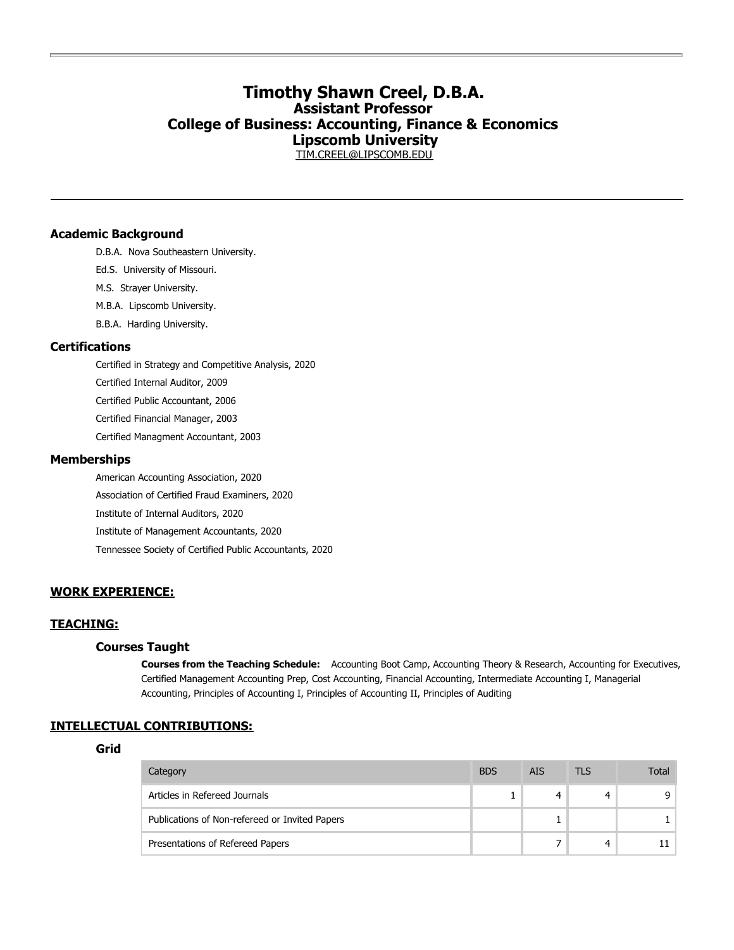# **Timothy Shawn Creel, D.B.A. Assistant Professor College of Business: Accounting, Finance & Economics Lipscomb University**

[TIM.CREEL@LIPSCOMB.EDU](mailto:TIM.CREEL@LIPSCOMB.EDU)

### **Academic Background**

D.B.A. Nova Southeastern University.

- Ed.S. University of Missouri.
- M.S. Strayer University.
- M.B.A. Lipscomb University.
- B.B.A. Harding University.

### **Certifications**

Certified in Strategy and Competitive Analysis, 2020 Certified Internal Auditor, 2009 Certified Public Accountant, 2006 Certified Financial Manager, 2003 Certified Managment Accountant, 2003

### **Memberships**

American Accounting Association, 2020 Association of Certified Fraud Examiners, 2020 Institute of Internal Auditors, 2020 Institute of Management Accountants, 2020 Tennessee Society of Certified Public Accountants, 2020

## **WORK EXPERIENCE:**

### **TEACHING:**

## **Courses Taught**

**Courses from the Teaching Schedule:** Accounting Boot Camp, Accounting Theory & Research, Accounting for Executives, Certified Management Accounting Prep, Cost Accounting, Financial Accounting, Intermediate Accounting I, Managerial Accounting, Principles of Accounting I, Principles of Accounting II, Principles of Auditing

## **INTELLECTUAL CONTRIBUTIONS:**

## **Grid**

| Category                                       | <b>BDS</b> | AIS. | TI S | Total |
|------------------------------------------------|------------|------|------|-------|
| Articles in Refereed Journals                  |            | 4    |      |       |
| Publications of Non-refereed or Invited Papers |            |      |      |       |
| Presentations of Refereed Papers               |            |      |      |       |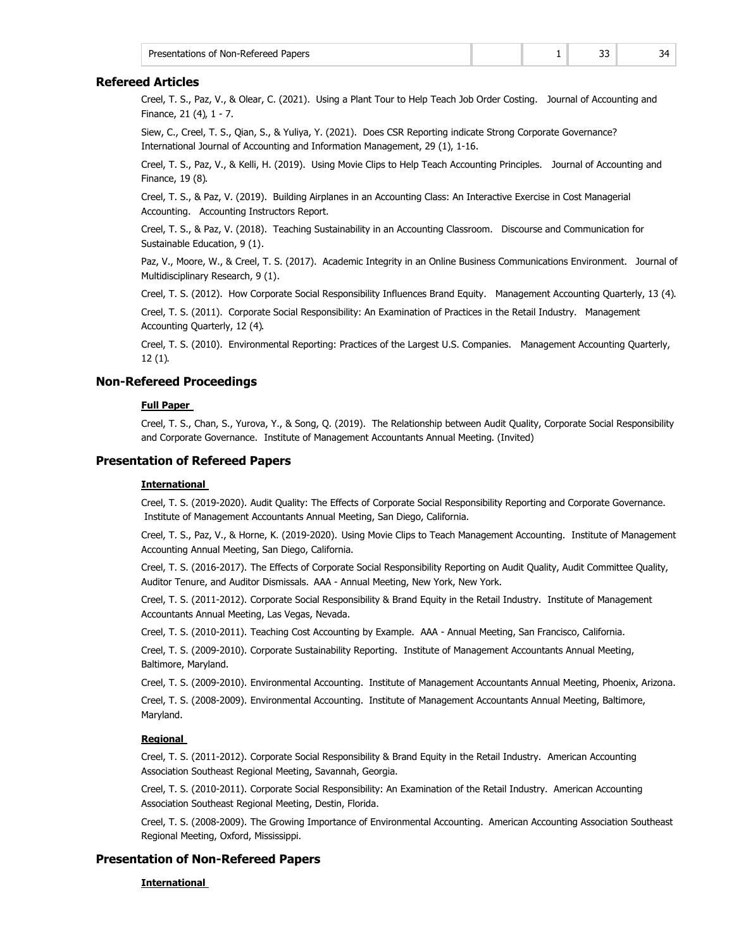| Presentations of Non-Refereed Papers |  |  |
|--------------------------------------|--|--|
|                                      |  |  |

## **Refereed Articles**

Creel, T. S., Paz, V., & Olear, C. (2021). Using a Plant Tour to Help Teach Job Order Costing. Journal of Accounting and Finance, 21 (4), 1 - 7.

Siew, C., Creel, T. S., Qian, S., & Yuliya, Y. (2021). Does CSR Reporting indicate Strong Corporate Governance? International Journal of Accounting and Information Management, 29 (1), 1-16.

Creel, T. S., Paz, V., & Kelli, H. (2019). Using Movie Clips to Help Teach Accounting Principles. Journal of Accounting and Finance, 19 (8).

Creel, T. S., & Paz, V. (2019). Building Airplanes in an Accounting Class: An Interactive Exercise in Cost Managerial Accounting. Accounting Instructors Report.

Creel, T. S., & Paz, V. (2018). Teaching Sustainability in an Accounting Classroom. Discourse and Communication for Sustainable Education, 9 (1).

Paz, V., Moore, W., & Creel, T. S. (2017). Academic Integrity in an Online Business Communications Environment. Journal of Multidisciplinary Research, 9 (1).

Creel, T. S. (2012). How Corporate Social Responsibility Influences Brand Equity. Management Accounting Quarterly, 13 (4).

Creel, T. S. (2011). Corporate Social Responsibility: An Examination of Practices in the Retail Industry. Management Accounting Quarterly, 12 (4).

Creel, T. S. (2010). Environmental Reporting: Practices of the Largest U.S. Companies. Management Accounting Quarterly, 12 (1).

## **Non-Refereed Proceedings**

### **Full Paper**

Creel, T. S., Chan, S., Yurova, Y., & Song, Q. (2019). The Relationship between Audit Quality, Corporate Social Responsibility and Corporate Governance. Institute of Management Accountants Annual Meeting. (Invited)

## **Presentation of Refereed Papers**

#### **International**

Creel, T. S. (2019-2020). Audit Quality: The Effects of Corporate Social Responsibility Reporting and Corporate Governance. Institute of Management Accountants Annual Meeting, San Diego, California.

Creel, T. S., Paz, V., & Horne, K. (2019-2020). Using Movie Clips to Teach Management Accounting. Institute of Management Accounting Annual Meeting, San Diego, California.

Creel, T. S. (2016-2017). The Effects of Corporate Social Responsibility Reporting on Audit Quality, Audit Committee Quality, Auditor Tenure, and Auditor Dismissals. AAA - Annual Meeting, New York, New York.

Creel, T. S. (2011-2012). Corporate Social Responsibility & Brand Equity in the Retail Industry. Institute of Management Accountants Annual Meeting, Las Vegas, Nevada.

Creel, T. S. (2010-2011). Teaching Cost Accounting by Example. AAA - Annual Meeting, San Francisco, California.

Creel, T. S. (2009-2010). Corporate Sustainability Reporting. Institute of Management Accountants Annual Meeting, Baltimore, Maryland.

Creel, T. S. (2009-2010). Environmental Accounting. Institute of Management Accountants Annual Meeting, Phoenix, Arizona.

Creel, T. S. (2008-2009). Environmental Accounting. Institute of Management Accountants Annual Meeting, Baltimore, Maryland.

### **Regional**

Creel, T. S. (2011-2012). Corporate Social Responsibility & Brand Equity in the Retail Industry. American Accounting Association Southeast Regional Meeting, Savannah, Georgia.

Creel, T. S. (2010-2011). Corporate Social Responsibility: An Examination of the Retail Industry. American Accounting Association Southeast Regional Meeting, Destin, Florida.

Creel, T. S. (2008-2009). The Growing Importance of Environmental Accounting. American Accounting Association Southeast Regional Meeting, Oxford, Mississippi.

### **Presentation of Non-Refereed Papers**

**International**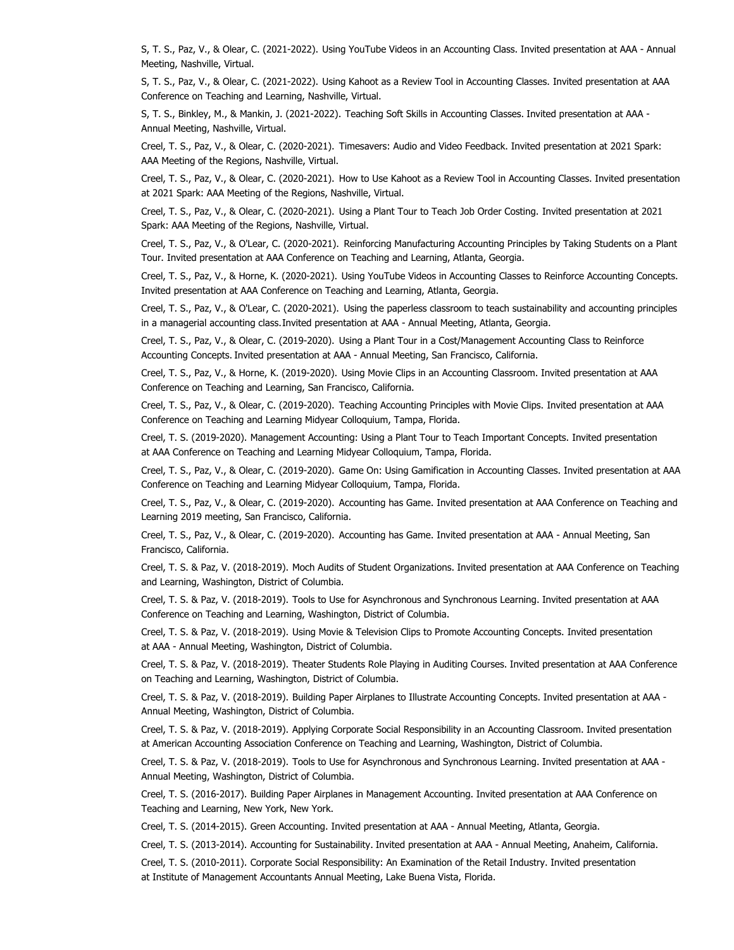S, T. S., Paz, V., & Olear, C. (2021-2022). Using YouTube Videos in an Accounting Class. Invited presentation at AAA - Annual Meeting, Nashville, Virtual.

S, T. S., Paz, V., & Olear, C. (2021-2022). Using Kahoot as a Review Tool in Accounting Classes. Invited presentation at AAA Conference on Teaching and Learning, Nashville, Virtual.

S, T. S., Binkley, M., & Mankin, J. (2021-2022). Teaching Soft Skills in Accounting Classes. Invited presentation at AAA - Annual Meeting, Nashville, Virtual.

Creel, T. S., Paz, V., & Olear, C. (2020-2021). Timesavers: Audio and Video Feedback. Invited presentation at 2021 Spark: AAA Meeting of the Regions, Nashville, Virtual.

Creel, T. S., Paz, V., & Olear, C. (2020-2021). How to Use Kahoot as a Review Tool in Accounting Classes. Invited presentation at 2021 Spark: AAA Meeting of the Regions, Nashville, Virtual.

Creel, T. S., Paz, V., & Olear, C. (2020-2021). Using a Plant Tour to Teach Job Order Costing. Invited presentation at 2021 Spark: AAA Meeting of the Regions, Nashville, Virtual.

Creel, T. S., Paz, V., & O'Lear, C. (2020-2021). Reinforcing Manufacturing Accounting Principles by Taking Students on a Plant Tour. Invited presentation at AAA Conference on Teaching and Learning, Atlanta, Georgia.

Creel, T. S., Paz, V., & Horne, K. (2020-2021). Using YouTube Videos in Accounting Classes to Reinforce Accounting Concepts. Invited presentation at AAA Conference on Teaching and Learning, Atlanta, Georgia.

Creel, T. S., Paz, V., & O'Lear, C. (2020-2021). Using the paperless classroom to teach sustainability and accounting principles in a managerial accounting class. Invited presentation at AAA - Annual Meeting, Atlanta, Georgia.

Creel, T. S., Paz, V., & Olear, C. (2019-2020). Using a Plant Tour in a Cost/Management Accounting Class to Reinforce Accounting Concepts. Invited presentation at AAA - Annual Meeting, San Francisco, California.

Creel, T. S., Paz, V., & Horne, K. (2019-2020). Using Movie Clips in an Accounting Classroom. Invited presentation at AAA Conference on Teaching and Learning, San Francisco, California.

Creel, T. S., Paz, V., & Olear, C. (2019-2020). Teaching Accounting Principles with Movie Clips. Invited presentation at AAA Conference on Teaching and Learning Midyear Colloquium, Tampa, Florida.

Creel, T. S. (2019-2020). Management Accounting: Using a Plant Tour to Teach Important Concepts. Invited presentation at AAA Conference on Teaching and Learning Midyear Colloquium, Tampa, Florida.

Creel, T. S., Paz, V., & Olear, C. (2019-2020). Game On: Using Gamification in Accounting Classes. Invited presentation at AAA Conference on Teaching and Learning Midyear Colloquium, Tampa, Florida.

Creel, T. S., Paz, V., & Olear, C. (2019-2020). Accounting has Game. Invited presentation at AAA Conference on Teaching and Learning 2019 meeting, San Francisco, California.

Creel, T. S., Paz, V., & Olear, C. (2019-2020). Accounting has Game. Invited presentation at AAA - Annual Meeting, San Francisco, California.

Creel, T. S. & Paz, V. (2018-2019). Moch Audits of Student Organizations. Invited presentation at AAA Conference on Teaching and Learning, Washington, District of Columbia.

Creel, T. S. & Paz, V. (2018-2019). Tools to Use for Asynchronous and Synchronous Learning. Invited presentation at AAA Conference on Teaching and Learning, Washington, District of Columbia.

Creel, T. S. & Paz, V. (2018-2019). Using Movie & Television Clips to Promote Accounting Concepts. Invited presentation at AAA - Annual Meeting, Washington, District of Columbia.

Creel, T. S. & Paz, V. (2018-2019). Theater Students Role Playing in Auditing Courses. Invited presentation at AAA Conference on Teaching and Learning, Washington, District of Columbia.

Creel, T. S. & Paz, V. (2018-2019). Building Paper Airplanes to Illustrate Accounting Concepts. Invited presentation at AAA - Annual Meeting, Washington, District of Columbia.

Creel, T. S. & Paz, V. (2018-2019). Applying Corporate Social Responsibility in an Accounting Classroom. Invited presentation at American Accounting Association Conference on Teaching and Learning, Washington, District of Columbia.

Creel, T. S. & Paz, V. (2018-2019). Tools to Use for Asynchronous and Synchronous Learning. Invited presentation at AAA - Annual Meeting, Washington, District of Columbia.

Creel, T. S. (2016-2017). Building Paper Airplanes in Management Accounting. Invited presentation at AAA Conference on Teaching and Learning, New York, New York.

Creel, T. S. (2014-2015). Green Accounting. Invited presentation at AAA - Annual Meeting, Atlanta, Georgia.

Creel, T. S. (2013-2014). Accounting for Sustainability. Invited presentation at AAA - Annual Meeting, Anaheim, California.

Creel, T. S. (2010-2011). Corporate Social Responsibility: An Examination of the Retail Industry. Invited presentation at Institute of Management Accountants Annual Meeting, Lake Buena Vista, Florida.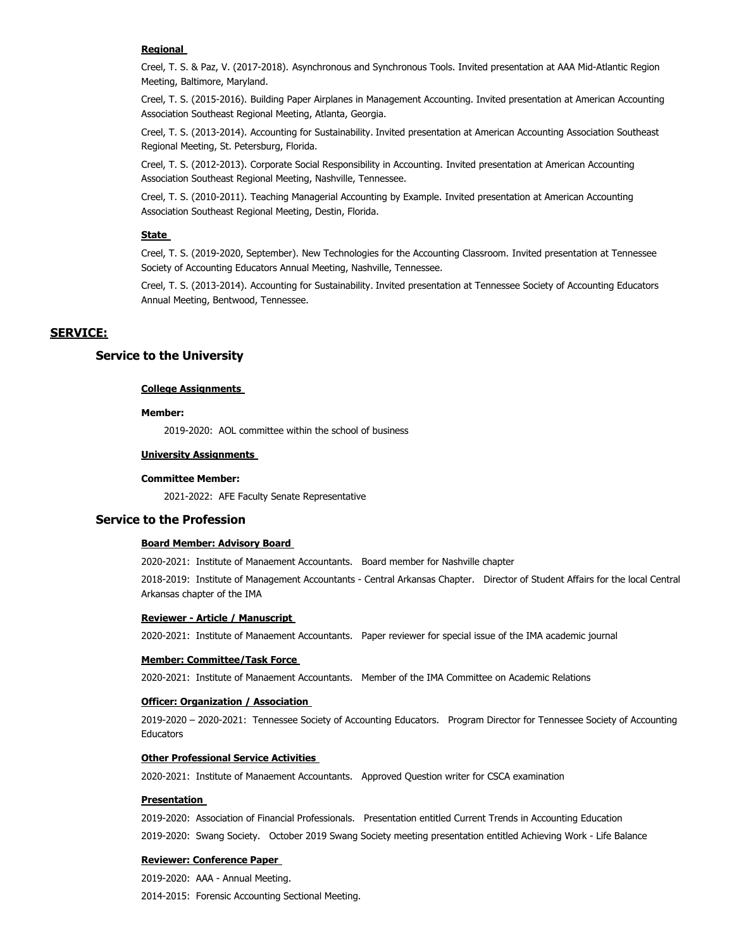#### **Regional**

Creel, T. S. & Paz, V. (2017-2018). Asynchronous and Synchronous Tools. Invited presentation at AAA Mid-Atlantic Region Meeting, Baltimore, Maryland.

Creel, T. S. (2015-2016). Building Paper Airplanes in Management Accounting. Invited presentation at American Accounting Association Southeast Regional Meeting, Atlanta, Georgia.

Creel, T. S. (2013-2014). Accounting for Sustainability. Invited presentation at American Accounting Association Southeast Regional Meeting, St. Petersburg, Florida.

Creel, T. S. (2012-2013). Corporate Social Responsibility in Accounting. Invited presentation at American Accounting Association Southeast Regional Meeting, Nashville, Tennessee.

Creel, T. S. (2010-2011). Teaching Managerial Accounting by Example. Invited presentation at American Accounting Association Southeast Regional Meeting, Destin, Florida.

## **State**

Creel, T. S. (2019-2020, September). New Technologies for the Accounting Classroom. Invited presentation at Tennessee Society of Accounting Educators Annual Meeting, Nashville, Tennessee.

Creel, T. S. (2013-2014). Accounting for Sustainability. Invited presentation at Tennessee Society of Accounting Educators Annual Meeting, Bentwood, Tennessee.

## **SERVICE:**

## **Service to the University**

#### **College Assignments**

#### **Member:**

2019-2020: AOL committee within the school of business

#### **University Assignments**

#### **Committee Member:**

2021-2022: AFE Faculty Senate Representative

## **Service to the Profession**

#### **Board Member: Advisory Board**

2020-2021: Institute of Manaement Accountants. Board member for Nashville chapter

2018-2019: Institute of Management Accountants - Central Arkansas Chapter. Director of Student Affairs for the local Central Arkansas chapter of the IMA

#### **Reviewer - Article / Manuscript**

2020-2021: Institute of Manaement Accountants. Paper reviewer for special issue of the IMA academic journal

#### **Member: Committee/Task Force**

2020-2021: Institute of Manaement Accountants. Member of the IMA Committee on Academic Relations

#### **Officer: Organization / Association**

2019-2020 – 2020-2021: Tennessee Society of Accounting Educators. Program Director for Tennessee Society of Accounting Educators

#### **Other Professional Service Activities**

2020-2021: Institute of Manaement Accountants. Approved Question writer for CSCA examination

#### **Presentation**

2019-2020: Association of Financial Professionals. Presentation entitled Current Trends in Accounting Education 2019-2020: Swang Society. October 2019 Swang Society meeting presentation entitled Achieving Work - Life Balance

#### **Reviewer: Conference Paper**

2019-2020: AAA - Annual Meeting.

2014-2015: Forensic Accounting Sectional Meeting.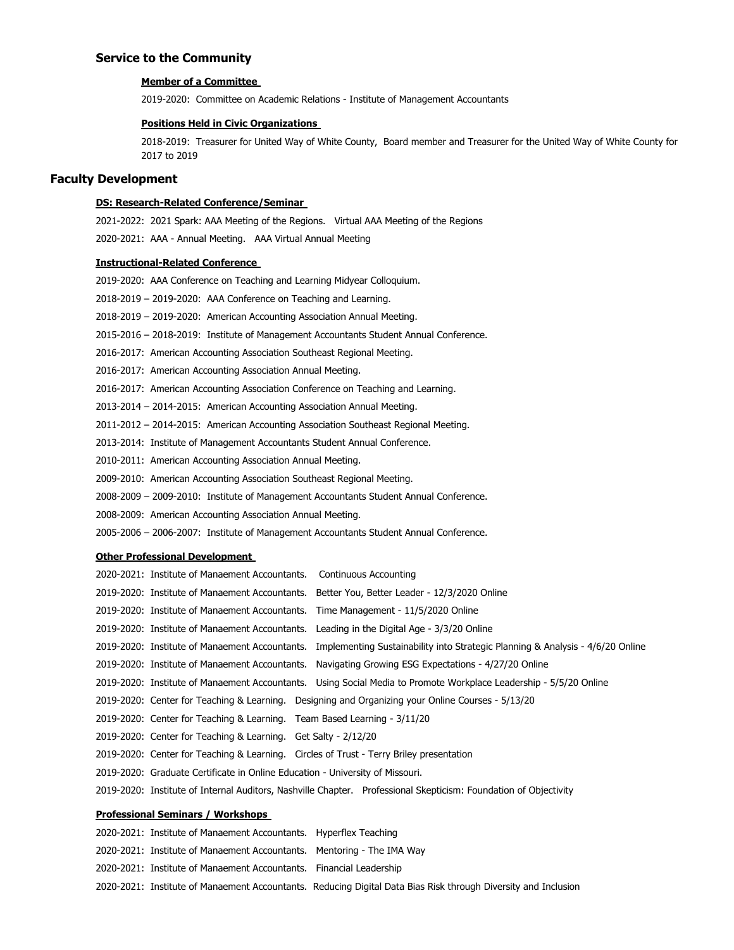## **Service to the Community**

### **Member of a Committee**

2019-2020: Committee on Academic Relations - Institute of Management Accountants

## **Positions Held in Civic Organizations**

2018-2019: Treasurer for United Way of White County, Board member and Treasurer for the United Way of White County for 2017 to 2019

## **Faculty Development**

### **DS: Research-Related Conference/Seminar**

2021-2022: 2021 Spark: AAA Meeting of the Regions. Virtual AAA Meeting of the Regions 2020-2021: AAA - Annual Meeting. AAA Virtual Annual Meeting

### **Instructional-Related Conference**

| 2019-2020: AAA Conference on Teaching and Learning Midyear Colloquium.                |
|---------------------------------------------------------------------------------------|
| 2018-2019 – 2019-2020: AAA Conference on Teaching and Learning.                       |
| 2018-2019 – 2019-2020: American Accounting Association Annual Meeting.                |
| 2015-2016 – 2018-2019: Institute of Management Accountants Student Annual Conference. |
| 2016-2017: American Accounting Association Southeast Regional Meeting.                |
| 2016-2017: American Accounting Association Annual Meeting.                            |
| 2016-2017: American Accounting Association Conference on Teaching and Learning.       |
| 2013-2014 – 2014-2015: American Accounting Association Annual Meeting.                |
| 2011-2012 – 2014-2015: American Accounting Association Southeast Regional Meeting.    |
| 2013-2014: Institute of Management Accountants Student Annual Conference.             |
| 2010-2011: American Accounting Association Annual Meeting.                            |
| 2009-2010: American Accounting Association Southeast Regional Meeting.                |
| 2008-2009 - 2009-2010: Institute of Management Accountants Student Annual Conference. |
| 2008-2009: American Accounting Association Annual Meeting.                            |
|                                                                                       |

## 2005-2006 – 2006-2007: Institute of Management Accountants Student Annual Conference.

### **Other Professional Development**

| 2020-2021: Institute of Manaement Accountants. Continuous Accounting          |                                                                                                                               |
|-------------------------------------------------------------------------------|-------------------------------------------------------------------------------------------------------------------------------|
|                                                                               | 2019-2020: Institute of Manaement Accountants. Better You, Better Leader - 12/3/2020 Online                                   |
|                                                                               | 2019-2020: Institute of Manaement Accountants. Time Management - 11/5/2020 Online                                             |
|                                                                               | 2019-2020: Institute of Manaement Accountants. Leading in the Digital Age - 3/3/20 Online                                     |
|                                                                               | 2019-2020: Institute of Manaement Accountants. Implementing Sustainability into Strategic Planning & Analysis - 4/6/20 Online |
|                                                                               | 2019-2020: Institute of Manaement Accountants. Navigating Growing ESG Expectations - 4/27/20 Online                           |
|                                                                               | 2019-2020: Institute of Manaement Accountants. Using Social Media to Promote Workplace Leadership - 5/5/20 Online             |
|                                                                               | 2019-2020: Center for Teaching & Learning. Designing and Organizing your Online Courses - 5/13/20                             |
| 2019-2020: Center for Teaching & Learning. Team Based Learning - 3/11/20      |                                                                                                                               |
| 2019-2020: Center for Teaching & Learning. Get Salty - 2/12/20                |                                                                                                                               |
|                                                                               | 2019-2020: Center for Teaching & Learning. Circles of Trust - Terry Briley presentation                                       |
| 2019-2020: Graduate Certificate in Online Education - University of Missouri. |                                                                                                                               |
|                                                                               | 2019-2020: Institute of Internal Auditors, Nashville Chapter. Professional Skepticism: Foundation of Objectivity              |

### **Professional Seminars / Workshops**

2020-2021: Institute of Manaement Accountants. Hyperflex Teaching 2020-2021: Institute of Manaement Accountants. Mentoring - The IMA Way 2020-2021: Institute of Manaement Accountants. Financial Leadership 2020-2021: Institute of Manaement Accountants. Reducing Digital Data Bias Risk through Diversity and Inclusion